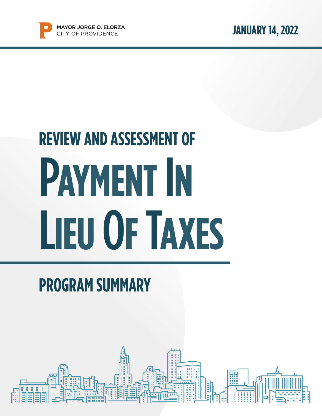

# P**AYMENT** I**N**  L**IEU** O**F** T**AXES REVIEW AND ASSESSMENT OF**

### **PROGRAM SUMMARY**

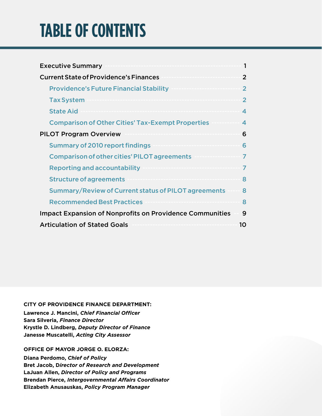### **TABLE OF CONTENTS**

| <b>Executive Summary</b>                                        | 1                |
|-----------------------------------------------------------------|------------------|
| <b>Current State of Providence's Finances</b>                   | $\overline{2}$   |
| <b>Providence's Future Financial Stability</b>                  | $\overline{2}$   |
| <b>Tax System</b>                                               | $\mathfrak{p}$   |
| <b>State Aid</b>                                                | 4                |
| <b>Comparison of Other Cities' Tax-Exempt Properties</b>        | $\blacktriangle$ |
| <b>PILOT Program Overview</b>                                   | 6                |
| <b>Summary of 2010 report findings</b>                          | 6                |
| <b>Comparison of other cities' PILOT agreements</b>             | 7                |
| <b>Reporting and accountability</b>                             | 7                |
| <b>Structure of agreements</b>                                  | 8                |
| Summary/Review of Current status of PILOT agreements            | 8                |
| <b>Recommended Best Practices</b>                               | 8                |
| <b>Impact Expansion of Nonprofits on Providence Communities</b> | 9                |
| <b>Articulation of Stated Goals</b>                             | 10               |

#### **CITY OF PROVIDENCE FINANCE DEPARTMENT:**

**Lawrence J. Mancini,** *Chief Financial Officer* **Sara Silveria,** *Finance Director* **Krystle D. Lindberg,** *Deputy Director of Finance* **Janesse Muscatelli,** *Acting City Assessor*

#### **OFFICE OF MAYOR JORGE O. ELORZA:**

**Diana Perdomo,** *Chief of Policy* **Bret Jacob, D***irector of Research and Development* **LaJuan Allen,** *Director of Policy and Programs* **Brendan Pierce,** *Intergovernmental Affairs Coordinator* **Elizabeth Anusauskas,** *Policy Program Manager*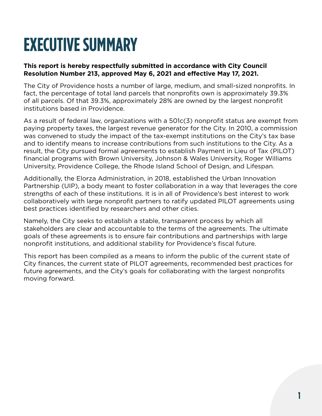## **EXECUTIVE SUMMARY**

#### **This report is hereby respectfully submitted in accordance with City Council Resolution Number 213, approved May 6, 2021 and effective May 17, 2021.**

The City of Providence hosts a number of large, medium, and small-sized nonprofits. In fact, the percentage of total land parcels that nonprofits own is approximately 39.3% of all parcels. Of that 39.3%, approximately 28% are owned by the largest nonprofit institutions based in Providence.

As a result of federal law, organizations with a 501c(3) nonprofit status are exempt from paying property taxes, the largest revenue generator for the City. In 2010, a commission was convened to study the impact of the tax-exempt institutions on the City's tax base and to identify means to increase contributions from such institutions to the City. As a result, the City pursued formal agreements to establish Payment in Lieu of Tax (PILOT) financial programs with Brown University, Johnson & Wales University, Roger Williams University, Providence College, the Rhode Island School of Design, and Lifespan.

Additionally, the Elorza Administration, in 2018, established the Urban Innovation Partnership (UIP), a body meant to foster collaboration in a way that leverages the core strengths of each of these institutions. It is in all of Providence's best interest to work collaboratively with large nonprofit partners to ratify updated PILOT agreements using best practices identified by researchers and other cities.

Namely, the City seeks to establish a stable, transparent process by which all stakeholders are clear and accountable to the terms of the agreements. The ultimate goals of these agreements is to ensure fair contributions and partnerships with large nonprofit institutions, and additional stability for Providence's fiscal future.

This report has been compiled as a means to inform the public of the current state of City finances, the current state of PILOT agreements, recommended best practices for future agreements, and the City's goals for collaborating with the largest nonprofits moving forward.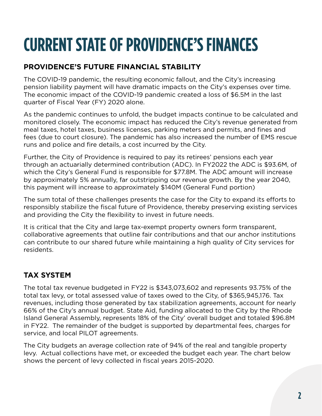## **CURRENT STATE OF PROVIDENCE'S FINANCES**

### **PROVIDENCE'S FUTURE FINANCIAL STABILITY**

The COVID-19 pandemic, the resulting economic fallout, and the City's increasing pension liability payment will have dramatic impacts on the City's expenses over time. The economic impact of the COVID-19 pandemic created a loss of \$6.5M in the last quarter of Fiscal Year (FY) 2020 alone.

As the pandemic continues to unfold, the budget impacts continue to be calculated and monitored closely. The economic impact has reduced the City's revenue generated from meal taxes, hotel taxes, business licenses, parking meters and permits, and fines and fees (due to court closure). The pandemic has also increased the number of EMS rescue runs and police and fire details, a cost incurred by the City.

Further, the City of Providence is required to pay its retirees' pensions each year through an actuarially determined contribution (ADC). In FY2022 the ADC is \$93.6M, of which the City's General Fund is responsible for \$77.8M. The ADC amount will increase by approximately 5% annually, far outstripping our revenue growth. By the year 2040, this payment will increase to approximately \$140M (General Fund portion)

The sum total of these challenges presents the case for the City to expand its efforts to responsibly stabilize the fiscal future of Providence, thereby preserving existing services and providing the City the flexibility to invest in future needs.

It is critical that the City and large tax-exempt property owners form transparent, collaborative agreements that outline fair contributions and that our anchor institutions can contribute to our shared future while maintaining a high quality of City services for residents.

### **TAX SYSTEM**

The total tax revenue budgeted in FY22 is \$343,073,602 and represents 93.75% of the total tax levy, or total assessed value of taxes owed to the City, of \$365,945,176. Tax revenues, including those generated by tax stabilization agreements, account for nearly 66% of the City's annual budget. State Aid, funding allocated to the City by the Rhode Island General Assembly, represents 18% of the City' overall budget and totaled \$96.8M in FY22. The remainder of the budget is supported by departmental fees, charges for service, and local PILOT agreements.

The City budgets an average collection rate of 94% of the real and tangible property levy. Actual collections have met, or exceeded the budget each year. The chart below shows the percent of levy collected in fiscal years 2015-2020.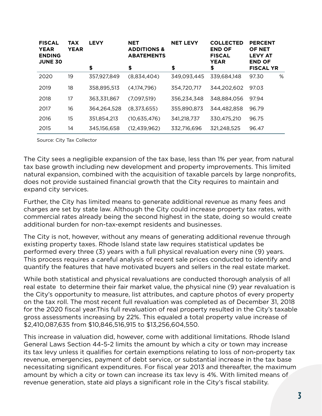| <b>FISCAL</b><br><b>YEAR</b><br><b>ENDING</b><br><b>JUNE 30</b> | <b>TAX</b><br><b>YEAR</b> | <b>LEVY</b> | <b>NET</b><br><b>ADDITIONS &amp;</b><br><b>ABATEMENTS</b> | <b>NET LEVY</b> | <b>COLLECTED</b><br><b>END OF</b><br><b>FISCAL</b><br><b>YEAR</b> | <b>PERCENT</b><br><b>OF NET</b><br><b>LEVY AT</b><br><b>END OF</b> |
|-----------------------------------------------------------------|---------------------------|-------------|-----------------------------------------------------------|-----------------|-------------------------------------------------------------------|--------------------------------------------------------------------|
|                                                                 |                           | \$          | \$                                                        | \$              | \$                                                                | <b>FISCAL YR</b>                                                   |
| 2020                                                            | 19                        | 357,927,849 | (8,834,404)                                               | 349,093,445     | 339,684,148                                                       | %<br>97.30                                                         |
| 2019                                                            | 18                        | 358,895,513 | (4,174,796)                                               | 354,720,717     | 344,202,602                                                       | 97.03                                                              |
| 2018                                                            | 17                        | 363,331,867 | (7,097,519)                                               | 356,234,348     | 348,884,056                                                       | 97.94                                                              |
| 2017                                                            | 16                        | 364,264,528 | (8,373,655)                                               | 355,890,873     | 344,482,858                                                       | 96.79                                                              |
| 2016                                                            | 15                        | 351,854,213 | (10,635,476)                                              | 341,218,737     | 330,475,210                                                       | 96.75                                                              |
| 2015                                                            | 14                        | 345,156,658 | (12, 439, 962)                                            | 332,716,696     | 321,248,525                                                       | 96.47                                                              |

Source: City Tax Collector

The City sees a negligible expansion of the tax base, less than 1% per year, from natural tax base growth including new development and property improvements. This limited natural expansion, combined with the acquisition of taxable parcels by large nonprofits, does not provide sustained financial growth that the City requires to maintain and expand city services.

Further, the City has limited means to generate additional revenue as many fees and charges are set by state law. Although the City could increase property tax rates, with commercial rates already being the second highest in the state, doing so would create additional burden for non-tax-exempt residents and businesses.

The City is not, however, without any means of generating additional revenue through existing property taxes. Rhode Island state law requires statistical updates be performed every three (3) years with a full physical revaluation every nine (9) years. This process requires a careful analysis of recent sale prices conducted to identify and quantify the features that have motivated buyers and sellers in the real estate market.

While both statistical and physical revaluations are conducted thorough analysis of all real estate to determine their fair market value, the physical nine (9) year revaluation is the City's opportunity to measure, list attributes, and capture photos of every property on the tax roll. The most recent full revaluation was completed as of December 31, 2018 for the 2020 fiscal year.This full revaluation of real property resulted in the City's taxable gross assessments increasing by 22%. This equaled a total property value increase of \$2,410,087,635 from \$10,846,516,915 to \$13,256,604,550.

This increase in valuation did, however, come with additional limitations. Rhode Island General Laws Section 44-5-2 limits the amount by which a city or town may increase its tax levy unless it qualifies for certain exemptions relating to loss of non-property tax revenue, emergencies, payment of debt service, or substantial increase in the tax base necessitating significant expenditures. For fiscal year 2013 and thereafter, the maximum amount by which a city or town can increase its tax levy is 4%. With limited means of revenue generation, state aid plays a significant role in the City's fiscal stability.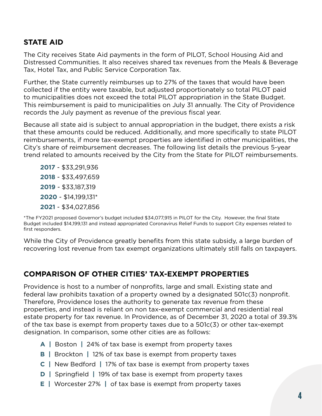#### **STATE AID**

The City receives State Aid payments in the form of PILOT, School Housing Aid and Distressed Communities. It also receives shared tax revenues from the Meals & Beverage Tax, Hotel Tax, and Public Service Corporation Tax.

Further, the State currently reimburses up to 27% of the taxes that would have been collected if the entity were taxable, but adjusted proportionately so total PILOT paid to municipalities does not exceed the total PILOT appropriation in the State Budget. This reimbursement is paid to municipalities on July 31 annually. The City of Providence records the July payment as revenue of the previous fiscal year.

Because all state aid is subject to annual appropriation in the budget, there exists a risk that these amounts could be reduced. Additionally, and more specifically to state PILOT reimbursements, if more tax-exempt properties are identified in other municipalities, the City's share of reimbursement decreases. The following list details the previous 5-year trend related to amounts received by the City from the State for PILOT reimbursements.

- \$33,291,936 - \$33,497,659 - \$33,187,319 - \$14,199,131\* - \$34,027,856

\*The FY2021 proposed Governor's budget included \$34,077,915 in PILOT for the City. However, the final State Budget included \$14,199,131 and instead appropriated Coronavirus Relief Funds to support City expenses related to first responders.

While the City of Providence greatly benefits from this state subsidy, a large burden of recovering lost revenue from tax exempt organizations ultimately still falls on taxpayers.

#### **COMPARISON OF OTHER CITIES' TAX-EXEMPT PROPERTIES**

Providence is host to a number of nonprofits, large and small. Existing state and federal law prohibits taxation of a property owned by a designated 501c(3) nonprofit. Therefore, Providence loses the authority to generate tax revenue from these properties, and instead is reliant on non tax-exempt commercial and residential real estate property for tax revenue. In Providence, as of December 31, 2020 a total of 39.3% of the tax base is exempt from property taxes due to a 501c(3) or other tax-exempt designation. In comparison, some other cities are as follows:

- **A |** Boston **|** 24% of tax base is exempt from property taxes
- **B |** Brockton **|** 12% of tax base is exempt from property taxes
- **C |** New Bedford **|** 17% of tax base is exempt from property taxes
- **D |** Springfield **|** 19% of tax base is exempt from property taxes
- **E |** Worcester 27% **|** of tax base is exempt from property taxes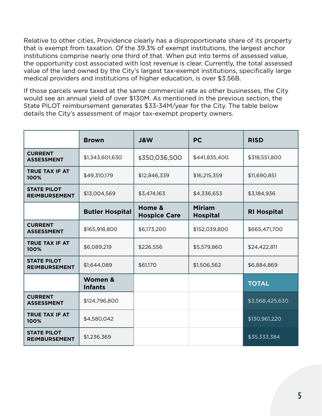Relative to other cities, Providence clearly has a disproportionate share of its property that is exempt from taxation. Of the 39.3% of exempt institutions, the largest anchor institutions comprise nearly one third of that. When put into terms of assessed value, the opportunity cost associated with lost revenue is clear. Currently, the total assessed value of the land owned by the City's largest tax-exempt institutions, specifically large medical providers and institutions of higher education, is over \$3.56B.

If those parcels were taxed at the same commercial rate as other businesses, the City would see an annual yield of over \$130M. As mentioned in the previous section, the State PILOT reimbursement generates \$33-34M/year for the City. The table below details the City's assessment of major tax-exempt property owners.

|                                            | <b>Brown</b>              | <b>J&amp;W</b>                | <b>PC</b>                        | <b>RISD</b>        |
|--------------------------------------------|---------------------------|-------------------------------|----------------------------------|--------------------|
| <b>CURRENT</b><br><b>ASSESSMENT</b>        | \$1,343,601,630           | \$350,036,500                 | \$441,835,400                    | \$318,551,800      |
| <b>TRUE TAX IF AT</b><br>100%              | \$49,310,179              | \$12,846,339                  | \$16,215,359                     | \$11,690,851       |
| <b>STATE PILOT</b><br><b>REIMBURSEMENT</b> | \$13,004,569              | \$3,474,163                   | \$4,336,653                      | \$3,184,936        |
|                                            | <b>Butler Hospital</b>    | Home &<br><b>Hospice Care</b> | <b>Miriam</b><br><b>Hospital</b> | <b>RI Hospital</b> |
| <b>CURRENT</b><br><b>ASSESSMENT</b>        | \$165,918,800             | \$6,173,200                   | \$152,039,800                    | \$665,471,700      |
| <b>TRUE TAX IF AT</b><br>100%              | \$6,089,219               | \$226,556                     | \$5,579,860                      | \$24,422,811       |
| <b>STATE PILOT</b><br><b>REIMBURSEMENT</b> | \$1,644,089               | \$61,170                      | \$1,506,562                      | \$6,884,869        |
|                                            | Women &<br><b>Infants</b> |                               |                                  | <b>TOTAL</b>       |
| <b>CURRENT</b><br><b>ASSESSMENT</b>        | \$124,796,800             |                               |                                  | \$3,568,425,630    |
| <b>TRUE TAX IF AT</b><br>100%              | \$4,580,042               |                               |                                  | \$130,961,220      |
| <b>STATE PILOT</b><br><b>REIMBURSEMENT</b> | \$1,236,369               |                               |                                  | \$35,333,384       |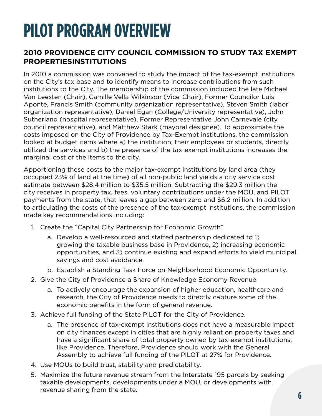### **PILOT PROGRAM OVERVIEW**

#### **2010 PROVIDENCE CITY COUNCIL COMMISSION TO STUDY TAX EXEMPT PROPERTIESINSTITUTIONS**

In 2010 a commission was convened to study the impact of the tax-exempt institutions on the City's tax base and to identify means to increase contributions from such institutions to the City. The membership of the commission included the late Michael Van Leesten (Chair), Camille Vella-Wilkinson (Vice-Chair), Former Councilor Luis Aponte, Francis Smith (community organization representative), Steven Smith (labor organization representative), Daniel Egan (College/University representative), John Sutherland (hospital representative), Former Representative John Carnevale (city council representative), and Matthew Stark (mayoral designee). To approximate the costs imposed on the City of Providence by Tax-Exempt institutions, the commission looked at budget items where a) the institution, their employees or students, directly utilized the services and b) the presence of the tax-exempt institutions increases the marginal cost of the items to the city.

Apportioning these costs to the major tax-exempt institutions by land area (they occupied 23% of land at the time) of all non-public land yields a city service cost estimate between \$28.4 million to \$35.5 million. Subtracting the \$29.3 million the city receives in property tax, fees, voluntary contributions under the MOU, and PILOT payments from the state, that leaves a gap between zero and \$6.2 million. In addition to articulating the costs of the presence of the tax-exempt institutions, the commission made key recommendations including:

- 1. Create the "Capital City Partnership for Economic Growth"
	- a. Develop a well-resourced and staffed partnership dedicated to 1) growing the taxable business base in Providence, 2) increasing economic opportunities, and 3) continue existing and expand efforts to yield municipal savings and cost avoidance.
	- b. Establish a Standing Task Force on Neighborhood Economic Opportunity.
- 2. Give the City of Providence a Share of Knowledge Economy Revenue.
	- a. To actively encourage the expansion of higher education, healthcare and research, the City of Providence needs to directly capture some of the economic benefits in the form of general revenue.
- 3. Achieve full funding of the State PILOT for the City of Providence.
	- a. The presence of tax-exempt institutions does not have a measurable impact on city finances except in cities that are highly reliant on property taxes and have a significant share of total property owned by tax-exempt institutions, like Providence. Therefore, Providence should work with the General Assembly to achieve full funding of the PILOT at 27% for Providence.
- 4. Use MOUs to build trust, stability and predictability.
- 5. Maximize the future revenue stream from the Interstate 195 parcels by seeking taxable developments, developments under a MOU, or developments with revenue sharing from the state.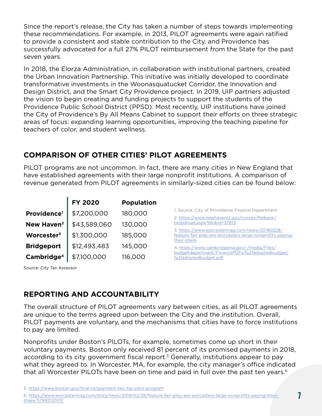Since the report's release, the City has taken a number of steps towards implementing these recommendations. For example, in 2013, PILOT agreements were again ratified to provide a consistent and stable contribution to the City, and Providence has successfully advocated for a full 27% PILOT reimbursement from the State for the past seven years.

In 2018, the Elorza Administration, in collaboration with institutional partners, created the Urban Innovation Partnership. This initiative was initially developed to coordinate transformative investments in the Woonasquatucket Corridor, the Innovation and Design District, and the Smart City Providence project. In 2019, UIP partners adjusted the vision to begin creating and funding projects to support the students of the Providence Public School District (PPSD). Most recently, UIP institutions have joined the City of Providence's By All Means Cabinet to support their efforts on three strategic areas of focus: expanding learning opportunities, improving the teaching pipeline for teachers of color, and student wellness.

### **COMPARISON OF OTHER CITIES' PILOT AGREEMENTS**

PILOT programs are not uncommon. In fact, there are many cities in New England that have established agreements with their large nonprofit institutions. A comparison of revenue generated from PILOT agreements in similarly-sized cities can be found below:

|                         | <b>FY 2020</b> | <b>Population</b> |                                                                                                                            |
|-------------------------|----------------|-------------------|----------------------------------------------------------------------------------------------------------------------------|
| Providence <sup>1</sup> | \$7,200,000    | 180,000           | 1. Source: City of Providence Finance Department<br>2. https://www.newhavenct.gov/civicax/filebank/                        |
| New Haven <sup>2</sup>  | \$43,589,060   | 130,000           | blobdload.aspx?blobid=37613                                                                                                |
| Worcester <sup>3</sup>  | \$1,300,000    | 185,000           | 3. https://www.worcestermag.com/news/20190228/<br>feature-fair-play-are-worcesters-large-nonprofits-paying-<br>their-share |
| <b>Bridgeport</b>       | \$12,493,483   | 145,000           | 4. https://www.cambridgema.gov/-/media/Files/                                                                              |
| Cambridge <sup>4</sup>  | \$7,100,000    | 116,000           | budgetdepartment/FinancePDFs/fy21adoptedbudget/<br>fy21adoptedbudget.pdf                                                   |

Source: City Tax Assessor

### [fy21adoptedbudget.pdf](https://www.cambridgema.gov/-/media/Files/budgetdepartment/FinancePDFs/fy21adoptedbudget/fy21adopted)

#### **REPORTING AND ACCOUNTABILITY**

The overall structure of PILOT agreements vary between cities, as all PILOT agreements are unique to the terms agreed upon between the City and the institution. Overall, PILOT payments are voluntary, and the mechanisms that cities have to force institutions to pay are limited.

Nonprofits under Boston's PILOTs, for example, sometimes come up short in their voluntary payments. Boston only received 81 percent of its promised payments in 2018, according to its city government fiscal report.<sup>5</sup> Generally, institutions appear to pay what they agreed to. In Worcester, MA, for example, the city manager's office indicated that all Worcester PILOTs have been on time and paid in full over the past ten years.<sup>6</sup>

5.<https://www.boston.gov/finance/payment-lieu-tax-pilot-program>

<sup>6.</sup> [https://www.worcestermag.com/story/news/2019/02/28/feature-fair-play-are-worcesters-large-nonprofits-paying-their](https://www.worcestermag.com/story/news/2019/02/28/feature-fair-play-are-worcesters-large-nonprofits)[share/5799212007/](https://www.worcestermag.com/story/news/2019/02/28/feature-fair-play-are-worcesters-large-nonprofits)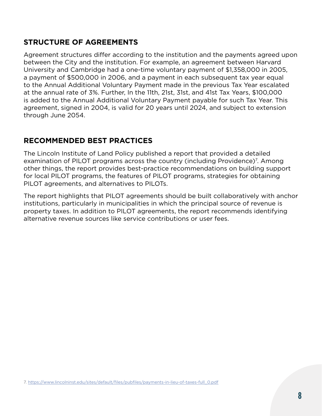#### **STRUCTURE OF AGREEMENTS**

Agreement structures differ according to the institution and the payments agreed upon between the City and the institution. For example, an agreement between Harvard University and Cambridge had a one-time voluntary payment of \$1,358,000 in 2005, a payment of \$500,000 in 2006, and a payment in each subsequent tax year equal to the Annual Additional Voluntary Payment made in the previous Tax Year escalated at the annual rate of 3%. Further, In the 11th, 21st, 31st, and 41st Tax Years, \$100,000 is added to the Annual Additional Voluntary Payment payable for such Tax Year. This agreement, signed in 2004, is valid for 20 years until 2024, and subject to extension through June 2054.

#### **RECOMMENDED BEST PRACTICES**

The Lincoln Institute of Land Policy published a report that provided a detailed examination of PILOT programs across the country (including Providence)<sup>7</sup>. Among other things, the report provides best-practice recommendations on building support for local PILOT programs, the features of PILOT programs, strategies for obtaining PILOT agreements, and alternatives to PILOTs.

The report highlights that PILOT agreements should be built collaboratively with anchor institutions, particularly in municipalities in which the principal source of revenue is property taxes. In addition to PILOT agreements, the report recommends identifying alternative revenue sources like service contributions or user fees.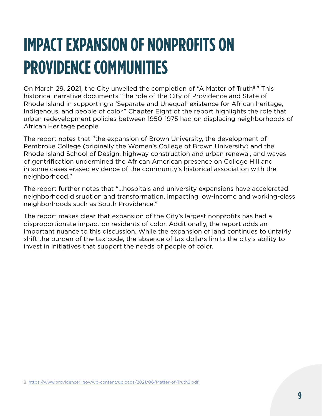# **IMPACT EXPANSION OF NONPROFITS ON PROVIDENCE COMMUNITIES**

On March 29, 2021, the City unveiled the completion of "A Matter of Truth<sup>8</sup>." This historical narrative documents "the role of the City of Providence and State of Rhode Island in supporting a 'Separate and Unequal' existence for African heritage, Indigenous, and people of color." Chapter Eight of the report highlights the role that urban redevelopment policies between 1950-1975 had on displacing neighborhoods of African Heritage people.

The report notes that "the expansion of Brown University, the development of Pembroke College (originally the Women's College of Brown University) and the Rhode Island School of Design, highway construction and urban renewal, and waves of gentrification undermined the African American presence on College Hill and in some cases erased evidence of the community's historical association with the neighborhood."

The report further notes that "...hospitals and university expansions have accelerated neighborhood disruption and transformation, impacting low-income and working-class neighborhoods such as South Providence."

The report makes clear that expansion of the City's largest nonprofits has had a disproportionate impact on residents of color. Additionally, the report adds an important nuance to this discussion. While the expansion of land continues to unfairly shift the burden of the tax code, the absence of tax dollars limits the city's ability to invest in initiatives that support the needs of people of color.